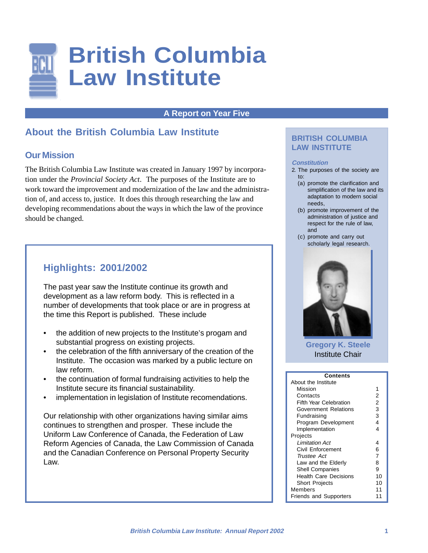

## **A Report on Year Five**

# **About the British Columbia Law Institute**

## **Our Mission**

The British Columbia Law Institute was created in January 1997 by incorporation under the *Provincial Society Act*. The purposes of the Institute are to work toward the improvement and modernization of the law and the administration of, and access to, justice. It does this through researching the law and developing recommendations about the ways in which the law of the province should be changed.

# **Highlights: 2001/2002**

The past year saw the Institute continue its growth and development as a law reform body. This is reflected in a number of developments that took place or are in progress at the time this Report is published. These include

- the addition of new projects to the Institute's progam and substantial progress on existing projects.
- the celebration of the fifth anniversary of the creation of the Institute. The occasion was marked by a public lecture on law reform.
- the continuation of formal fundraising activities to help the Institute secure its financial sustainability.
- implementation in legislation of Institute recomendations.

Our relationship with other organizations having similar aims continues to strengthen and prosper. These include the Uniform Law Conference of Canada, the Federation of Law Reform Agencies of Canada, the Law Commission of Canada and the Canadian Conference on Personal Property Security Law.

## **BRITISH COLUMBIA LAW INSTITUTE**

#### **Constitution**

- 2. The purposes of the society are to:
	- (a) promote the clarification and simplification of the law and its adaptation to modern social needs,
	- (b) promote improvement of the administration of justice and respect for the rule of law, and
	- (c) promote and carry out scholarly legal research.



**Gregory K. Steele** Institute Chair

| Contents                      |                |  |
|-------------------------------|----------------|--|
| About the Institute           |                |  |
| Mission                       | 1              |  |
| Contacts                      | 2              |  |
| <b>Fifth Year Celebration</b> | 2              |  |
| Government Relations          | 3              |  |
| Fundraising                   | 3              |  |
| Program Development           | 4              |  |
| Implementation                | 4              |  |
| Projects                      |                |  |
| I imitation Act               | 4              |  |
| Civil Enforcement             | 6              |  |
| Trustee Act                   | $\overline{7}$ |  |
| Law and the Elderly           | 8              |  |
| <b>Shell Companies</b>        | 9              |  |
| <b>Health Care Decisions</b>  | 10             |  |
| <b>Short Projects</b>         | 10             |  |
| Members                       | 11             |  |
| <b>Friends and Supporters</b> | 11             |  |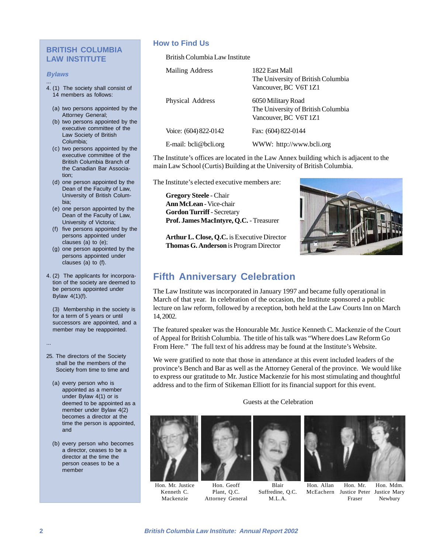## **BRITISH COLUMBIA LAW INSTITUTE**

#### **Bylaws**

...

- 4. (1) The society shall consist of
	- 14 members as follows:
	- (a) two persons appointed by the Attorney General;
	- (b) two persons appointed by the executive committee of the Law Society of British Columbia;
	- (c) two persons appointed by the executive committee of the British Columbia Branch of the Canadian Bar Association;
	- (d) one person appointed by the Dean of the Faculty of Law, University of British Columbia;
	- (e) one person appointed by the Dean of the Faculty of Law, University of Victoria;
	- (f) five persons appointed by the persons appointed under clauses (a) to (e);
	- (g) one person appointed by the persons appointed under clauses (a) to (f).
- 4. (2) The applicants for incorporation of the society are deemed to be persons appointed under Bylaw 4(1)(f).

(3) Membership in the society is for a term of 5 years or until successors are appointed, and a member may be reappointed.

25. The directors of the Society shall be the members of the Society from time to time and

...

- (a) every person who is appointed as a member under Bylaw 4(1) or is deemed to be appointed as a member under Bylaw 4(2) becomes a director at the time the person is appointed, and
- (b) every person who becomes a director, ceases to be a director at the time the person ceases to be a member

### **How to Find Us**

British Columbia Law Institute

| Mailing Address       | 1822 East Mall<br>The University of British Columbia<br>Vancouver, BC V6T 1Z1                                                                                  |
|-----------------------|----------------------------------------------------------------------------------------------------------------------------------------------------------------|
| Physical Address      | 6050 Military Road<br>The University of British Columbia<br>Vancouver, BC V6T 1Z1                                                                              |
| Voice: (604) 822-0142 | Fax: (604) 822-0144                                                                                                                                            |
| E-mail: bcli@bcli.org | WWW: http://www.bcli.org                                                                                                                                       |
|                       | $\mathbf{1}$ . $\mathbf{1}$ . The set of $\mathbf{1}$ , $\mathbf{1}$ , $\mathbf{1}$ , $\mathbf{1}$ , $\mathbf{1}$ , $\mathbf{1}$ , $\mathbf{1}$ , $\mathbf{1}$ |

The Institute's offices are located in the Law Annex building which is adjacent to the main Law School (Curtis) Building at the University of British Columbia.

The Institute's elected executive members are:

**Gregory Steele** - Chair **Ann McLean** - Vice-chair **Gordon Turriff** - Secretary **Prof. James MacIntyre, Q.C.** - Treasurer

**Arthur L. Close, Q.C.** is Executive Director **Thomas G. Anderson** is Program Director



# **Fifth Anniversary Celebration**

The Law Institute was incorporated in January 1997 and became fully operational in March of that year. In celebration of the occasion, the Institute sponsored a public lecture on law reform, followed by a reception, both held at the Law Courts Inn on March 14, 2002.

The featured speaker was the Honourable Mr. Justice Kenneth C. Mackenzie of the Court of Appeal for British Columbia. The title of his talk was "Where does Law Reform Go From Here." The full text of his address may be found at the Institute's Website.

We were gratified to note that those in attendance at this event included leaders of the province's Bench and Bar as well as the Attorney General of the province. We would like to express our gratitude to Mr. Justice Mackenzie for his most stimulating and thoughtful address and to the firm of Stikeman Elliott for its financial support for this event.

Guests at the Celebration



Hon. Mr. Justice Kenneth C. Mackenzie







Hon. Allan McEachern Justice Peter Justice Mary Hon. Mr. Fraser Hon. Mdm. Newbury

Hon. Geoff Plant, Q.C. Attorney General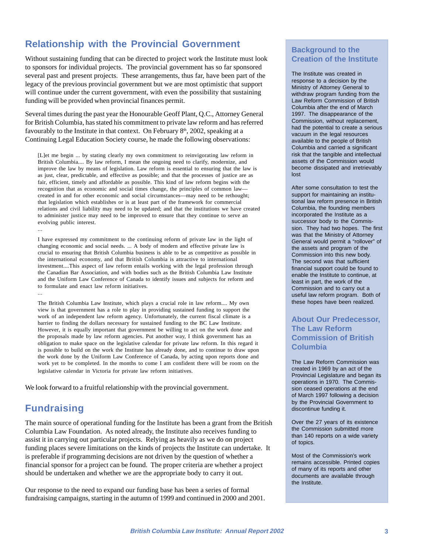# **Relationship with the Provincial Government**

Without sustaining funding that can be directed to project work the Institute must look to sponsors for individual projects. The provincial government has so far sponsored several past and present projects. These arrangements, thus far, have been part of the legacy of the previous provincial government but we are most optimistic that support will continue under the current government, with even the possibility that sustaining funding will be provided when provincial finances permit.

Several times during the past year the Honourable Geoff Plant, Q.C., Attorney General for British Columbia, has stated his commitment to private law reform and has referred favourably to the Institute in that context. On February  $8<sup>th</sup>$ , 2002, speaking at a Continuing Legal Education Society course, he made the following observations:

[L]et me begin ... by stating clearly my own commitment to reinvigorating law reform in British Columbia.... By law reform, I mean the ongoing need to clarify, modernize, and improve the law by means of legislation. Law reform is essential to ensuring that the law is as just, clear, predictable, and effective as possible; and that the processes of justice are as fair, efficient, timely and affordable as possible. This kind of law reform begins with the recognition that as economic and social times change, the principles of common law created in and for other economic and social circumstances—may need to be rethought; that legislation which establishes or is at least part of the framework for commercial relations and civil liability may need to be updated; and that the institutions we have created to administer justice may need to be improved to ensure that they continue to serve an evolving public interest.

I have expressed my commitment to the continuing reform of private law in the light of changing economic and social needs. ... A body of modern and effective private law is crucial to ensuring that British Columbia business is able to be as competitive as possible in the international economy, and that British Columbia is attractive to international investment....This aspect of law reform entails working with the legal profession through the Canadian Bar Association, and with bodies such as the British Columbia Law Institute and the Uniform Law Conference of Canada to identify issues and subjects for reform and to formulate and enact law reform initiatives. ...

The British Columbia Law Institute, which plays a crucial role in law reform.... My own view is that government has a role to play in providing sustained funding to support the work of an independent law reform agency. Unfortunately, the current fiscal climate is a barrier to finding the dollars necessary for sustained funding to the BC Law Institute. However, it is equally important that government be willing to act on the work done and the proposals made by law reform agencies. Put another way, I think government has an obligation to make space on the legislative calendar for private law reform. In this regard it is possible to build on the work the Institute has already done, and to continue to draw upon the work done by the Uniform Law Conference of Canada, by acting upon reports done and work yet to be completed. In the months to come I am confident there will be room on the legislative calendar in Victoria for private law reform initiatives.

We look forward to a fruitful relationship with the provincial government.

# **Fundraising**

...

The main source of operational funding for the Institute has been a grant from the British Columbia Law Foundation. As noted already, the Institute also receives funding to assist it in carrying out particular projects. Relying as heavily as we do on project funding places severe limitations on the kinds of projects the Institute can undertake. It is preferable if programming decisions are not driven by the question of whether a financial sponsor for a project can be found. The proper criteria are whether a project should be undertaken and whether we are the appropriate body to carry it out.

Our response to the need to expand our funding base has been a series of formal fundraising campaigns, starting in the autumn of 1999 and continued in 2000 and 2001.

## **Background to the Creation of the Institute**

The Institute was created in response to a decision by the Ministry of Attorney General to withdraw program funding from the Law Reform Commission of British Columbia after the end of March 1997. The disappearance of the Commission, without replacement, had the potential to create a serious vacuum in the legal resources available to the people of British Columbia and carried a significant risk that the tangible and intellectual assets of the Commission would become dissipated and irretrievably lost

After some consultation to test the support for maintaining an institutional law reform presence in British Columbia, the founding members incorporated the Institute as a successor body to the Commission. They had two hopes. The first was that the Ministry of Attorney General would permit a "rollover" of the assets and program of the Commission into this new body. The second was that sufficient financial support could be found to enable the Institute to continue, at least in part, the work of the Commission and to carry out a useful law reform program. Both of these hopes have been realized.

## **About Our Predecessor, The Law Reform Commission of British Columbia**

The Law Reform Commission was created in 1969 by an act of the Provincial Legislature and began its operations in 1970. The Commission ceased operations at the end of March 1997 following a decision by the Provincial Government to discontinue funding it.

Over the 27 years of its existence the Commission submitted more than 140 reports on a wide variety of topics.

Most of the Commission's work remains accessible. Printed copies of many of its reports and other documents are available through the Institute.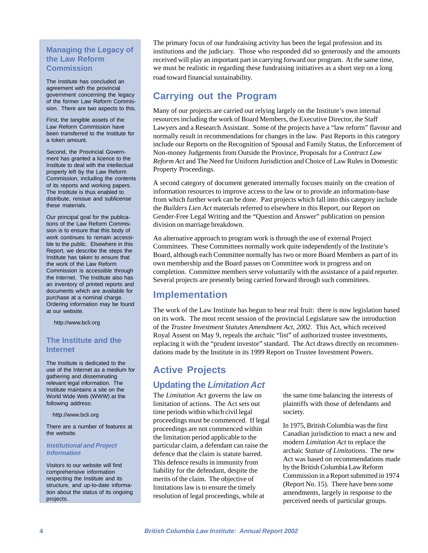## **Managing the Legacy of the Law Reform Commission**

The Institute has concluded an agreement with the provincial government concerning the legacy of the former Law Reform Commission. There are two aspects to this.

First, the tangible assets of the Law Reform Commission have been transferred to the Institute for a token amount.

Second, the Provincial Government has granted a licence to the Institute to deal with the intellectual property left by the Law Reform Commission, including the contents of its reports and working papers. The Institute is thus enabled to distribute, reissue and sublicense these materials.

Our principal goal for the publications of the Law Reform Commission is to ensure that this body of work continues to remain accessible to the public. Elsewhere in this Report, we describe the steps the Institute has taken to ensure that the work of the Law Reform Commission is accessible through the Internet. The Institute also has an inventory of printed reports and documents which are available for purchase at a nominal charge. Ordering information may be found at our website.

http://www.bcli.org

## **The Institute and the Internet**

The Institute is dedicated to the use of the Internet as a medium for gathering and disseminating relevant legal information. The Institute maintains a site on the World Wide Web (WWW) at the following address:

http://www.bcli.org

There are a number of features at the website.

#### **Institutional and Project Information**

Visitors to our website will find comprehensive information respecting the Institute and its structure, and up-to-date information about the status of its ongoing projects.

The primary focus of our fundraising activity has been the legal profession and its institutions and the judiciary. Those who responded did so generously and the amounts received will play an important part in carrying forward our program. At the same time, we must be realistic in regarding these fundraising initiatives as a short step on a long road toward financial sustainability.

# **Carrying out the Program**

Many of our projects are carried out relying largely on the Institute's own internal resources including the work of Board Members, the Executive Director, the Staff Lawyers and a Research Assistant. Some of the projects have a "law reform" flavour and normally result in recommendations for changes in the law. Past Reports in this category include our Reports on the Recognition of Spousal and Family Status, the Enforcement of Non-money Judgements from Outside the Province, Proposals for a *Contract Law Reform Act* and The Need for Uniform Jurisdiction and Choice of Law Rules in Domestic Property Proceedings.

A second category of document generated internally focuses mainly on the creation of information resources to improve access to the law or to provide an information-base from which further work can be done. Past projects which fall into this category include the *Builders Lien Act* materials referred to elsewhere in this Report, our Report on Gender-Free Legal Writing and the "Question and Answer" publication on pension division on marriage breakdown.

An alternative approach to program work is through the use of external Project Committees. These Committees normally work quite independently of the Institute's Board, although each Committee normally has two or more Board Members as part of its own membership and the Board passes on Committee work in progress and on completion. Committee members serve voluntarily with the assistance of a paid reporter. Several projects are presently being carried forward through such committees.

# **Implementation**

The work of the Law Institute has begun to bear real fruit: there is now legislation based on its work. The most recent session of the provincial Legislature saw the introduction of the *Trustee Investment Statutes Amendment Act, 2002*. This Act, which received Royal Assent on May 9, repeals the archaic "list" of authorized trustee investments, replacing it with the "prudent investor" standard. The Act draws directly on recommendations made by the Institute in its 1999 Report on Trustee Investment Powers.

# **Active Projects**

# **Updating the Limitation Act**

The *Limitation Act* governs the law on limitation of actions. The Act sets out time periods within which civil legal proceedings must be commenced. If legal proceedings are not commenced within the limitation period applicable to the particular claim, a defendant can raise the defence that the claim is statute barred. This defence results in immunity from liability for the defendant, despite the merits of the claim. The objective of limitations law is to ensure the timely resolution of legal proceedings, while at

the same time balancing the interests of plaintiffs with those of defendants and society.

In 1975, British Columbia was the first Canadian jurisdiction to enact a new and modern *Limitation Act* to replace the archaic *Statute of Limitations*. The new Act was based on recommendations made by the British Columbia Law Reform Commission in a Report submitted in 1974 (Report No. 15). There have been some amendments, largely in response to the perceived needs of particular groups.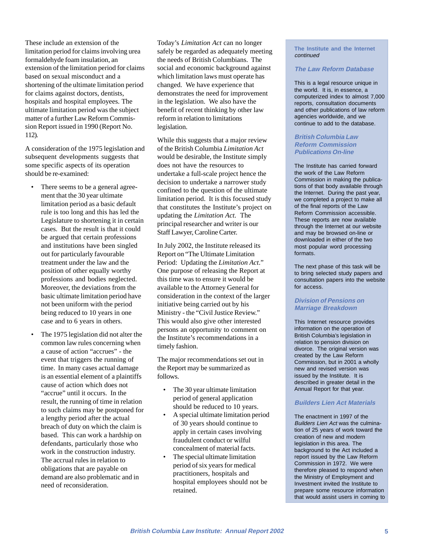These include an extension of the limitation period for claims involving urea formaldehyde foam insulation, an extension of the limitation period for claims based on sexual misconduct and a shortening of the ultimate limitation period for claims against doctors, dentists, hospitals and hospital employees. The ultimate limitation period was the subject matter of a further Law Reform Commission Report issued in 1990 (Report No. 112).

A consideration of the 1975 legislation and subsequent developments suggests that some specific aspects of its operation should be re-examined:

- There seems to be a general agreement that the 30 year ultimate limitation period as a basic default rule is too long and this has led the Legislature to shortening it in certain cases. But the result is that it could be argued that certain professions and institutions have been singled out for particularly favourable treatment under the law and the position of other equally worthy professions and bodies neglected. Moreover, the deviations from the basic ultimate limitation period have not been uniform with the period being reduced to 10 years in one case and to 6 years in others.
- The 1975 legislation did not alter the common law rules concerning when a cause of action "accrues" - the event that triggers the running of time. In many cases actual damage is an essential element of a plaintiffs cause of action which does not "accrue" until it occurs. In the result, the running of time in relation to such claims may be postponed for a lengthy period after the actual breach of duty on which the claim is based. This can work a hardship on defendants, particularly those who work in the construction industry. The accrual rules in relation to obligations that are payable on demand are also problematic and in need of reconsideration.

Today's *Limitation Act* can no longer safely be regarded as adequately meeting the needs of British Columbians. The social and economic background against which limitation laws must operate has changed. We have experience that demonstrates the need for improvement in the legislation. We also have the benefit of recent thinking by other law reform in relation to limitations legislation.

While this suggests that a major review of the British Columbia *Limitation Act* would be desirable, the Institute simply does not have the resources to undertake a full-scale project hence the decision to undertake a narrower study confined to the question of the ultimate limitation period. It is this focused study that constitutes the Institute's project on updating the *Limitation Act*. The principal researcher and writer is our Staff Lawyer, Caroline Carter.

In July 2002, the Institute released its Report on "The Ultimate Limitation Period: Updating the *Limitation Act*." One purpose of releasing the Report at this time was to ensure it would be available to the Attorney General for consideration in the context of the larger initiative being carried out by his Ministry - the "Civil Justice Review." This would also give other interested persons an opportunity to comment on the Institute's recommendations in a timely fashion.

The major recommendations set out in the Report may be summarized as follows.

- The 30 year ultimate limitation period of general application should be reduced to 10 years.
- A special ultimate limitation period of 30 years should continue to apply in certain cases involving fraudulent conduct or wilful concealment of material facts.
- The special ultimate limitation period of six years for medical practitioners, hospitals and hospital employees should not be retained.

**The Institute and the Internet** continued

### **The Law Reform Database**

This is a legal resource unique in the world. It is, in essence, a computerized index to almost 7,000 reports, consultation documents and other publications of law reform agencies worldwide, and we continue to add to the database.

### **British Columbia Law Reform Commission Publications On-line**

The Institute has carried forward the work of the Law Reform Commission in making the publications of that body available through the Internet. During the past year, we completed a project to make all of the final reports of the Law Reform Commission accessible. These reports are now available through the Internet at our website and may be browsed on-line or downloaded in either of the two most popular word processing formats.

The next phase of this task will be to bring selected study papers and consultation papers into the website for access.

#### **Division of Pensions on Marriage Breakdown**

This Internet resource provides information on the operation of British Columbia's legislation in relation to pension division on divorce. The original version was created by the Law Reform Commission, but in 2001 a wholly new and revised version was issued by the Institute. It is described in greater detail in the Annual Report for that year.

### **Builders Lien Act Materials**

The enactment in 1997 of the Builders Lien Act was the culmination of 25 years of work toward the creation of new and modern legislation in this area. The background to the Act included a report issued by the Law Reform Commission in 1972. We were therefore pleased to respond when the Ministry of Employment and Investment invited the Institute to prepare some resource information that would assist users in coming to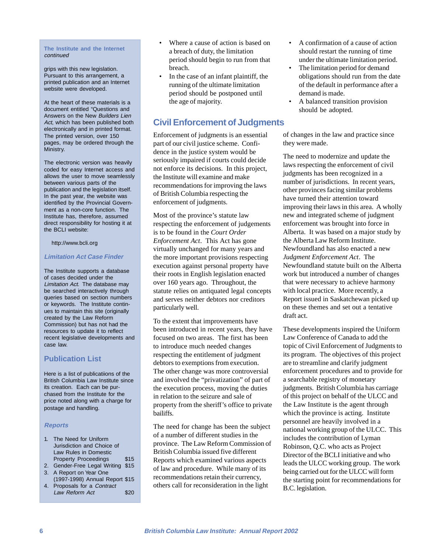#### **The Institute and the Internet** continued

grips with this new legislation. Pursuant to this arrangement, a printed publication and an Internet website were developed.

At the heart of these materials is a document entitled "Questions and Answers on the New Builders Lien Act, which has been published both electronically and in printed format. The printed version, over 150 pages, may be ordered through the Ministry.

The electronic version was heavily coded for easy Internet access and allows the user to move seamlessly between various parts of the publication and the legislation itself. In the past year, the website was identified by the Provincial Government as a non-core function. The Institute has, therefore, assumed direct responsibility for hosting it at the BCLI website:

#### http://www.bcli.org

#### **Limitation Act Case Finder**

The Institute supports a database of cases decided under the Limitation Act. The database may be searched interactively through queries based on section numbers or keywords. The Institute continues to maintain this site (originally created by the Law Reform Commission) but has not had the resources to update it to reflect recent legislative developments and case law.

### **Publication List**

Here is a list of publicatiions of the British Columbia Law Institute since its creation. Each can be purchased from the Institute for the price noted along with a charge for postage and handling.

### **Reports**

- 1. The Need for Uniform Jurisdiction and Choice of Law Rules in Domestic Property Proceedings \$15
- 2. Gender-Free Legal Writing \$15 3. A Report on Year One
- (1997-1998) Annual Report \$15 4. Proposals for a Contract
- Law Reform Act \$20
- Where a cause of action is based on a breach of duty, the limitation period should begin to run from that breach.
- In the case of an infant plaintiff, the running of the ultimate limitation period should be postponed until the age of majority.

## **Civil Enforcement of Judgments**

Enforcement of judgments is an essential part of our civil justice scheme. Confidence in the justice system would be seriously impaired if courts could decide not enforce its decisions. In this project, the Institute will examine and make recommendations for improving the laws of British Columbia respecting the enforcement of judgments.

Most of the province's statute law respecting the enforcement of judgements is to be found in the *Court Order Enforcement Act*. This Act has gone virtually unchanged for many years and the more important provisions respecting execution against personal property have their roots in English legislation enacted over 160 years ago. Throughout, the statute relies on antiquated legal concepts and serves neither debtors nor creditors particularly well.

To the extent that improvements have been introduced in recent years, they have focused on two areas. The first has been to introduce much needed changes respecting the entitlement of judgment debtors to exemptions from execution. The other change was more controversial and involved the "privatization" of part of the execution process, moving the duties in relation to the seizure and sale of property from the sheriff's office to private bailiffs.

The need for change has been the subject of a number of different studies in the province. The Law Reform Commission of British Columbia issued five different Reports which examined various aspects of law and procedure. While many of its recommendations retain their currency, others call for reconsideration in the light

- A confirmation of a cause of action should restart the running of time under the ultimate limitation period.
- The limitation period for demand obligations should run from the date of the default in performance after a demand is made.
- A balanced transition provision should be adopted.

of changes in the law and practice since they were made.

The need to modernize and update the laws respecting the enforcement of civil judgments has been recognized in a number of jurisdictions. In recent years, other provinces facing similar problems have turned their attention toward improving their laws in this area. A wholly new and integrated scheme of judgment enforcement was brought into force in Alberta. It was based on a major study by the Alberta Law Reform Institute. Newfoundland has also enacted a new *Judgment Enforcement Act*. The Newfoundland statute built on the Alberta work but introduced a number of changes that were necessary to achieve harmony with local practice. More recently, a Report issued in Saskatchewan picked up on these themes and set out a tentative draft act.

These developments inspired the Uniform Law Conference of Canada to add the topic of Civil Enforcement of Judgments to its program. The objectives of this project are to streamline and clarify judgment enforcement procedures and to provide for a searchable registry of monetary judgments. British Columbia has carriage of this project on behalf of the ULCC and the Law Institute is the agent through which the province is acting. Institute personnel are heavily involved in a national working group of the ULCC. This includes the contribution of Lyman Robinson, Q.C. who acts as Project Director of the BCLI initiative and who leads the ULCC working group. The work being carried out for the ULCC will form the starting point for recommendations for B.C. legislation.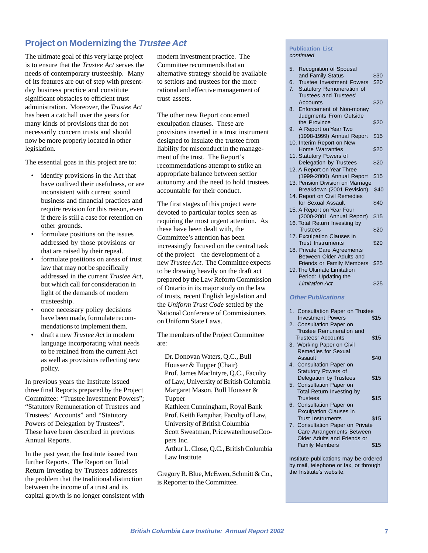# **Project on Modernizing the Trustee Act**

The ultimate goal of this very large project is to ensure that the *Trustee Act* serves the needs of contemporary trusteeship. Many of its features are out of step with presentday business practice and constitute significant obstacles to efficient trust administration. Moreover, the *Trustee Act* has been a catchall over the years for many kinds of provisions that do not necessarily concern trusts and should now be more properly located in other legislation.

The essential goas in this project are to:

- identify provisions in the Act that have outlived their usefulness, or are inconsistent with current sound business and financial practices and require revision for this reason, even if there is still a case for retention on other grounds.
- formulate positions on the issues addressed by those provisions or that are raised by their repeal.
- formulate positions on areas of trust law that may not be specifically addressed in the current *Trustee Act*, but which call for consideration in light of the demands of modern trusteeship.
- once necessary policy decisions have been made, formulate recommendations to implement them.
- draft a new *Trustee Act* in modern language incorporating what needs to be retained from the current Act as well as provisions reflecting new policy.

In previous years the Institute issued three final Reports prepared by the Project Committee: "Trustee Investment Powers"; "Statutory Remuneration of Trustees and Trustees' Accounts" and "Statutory Powers of Delegation by Trustees". These have been described in previous Annual Reports.

In the past year, the Institute issued two further Reports. The Report on Total Return Investing by Trustees addresses the problem that the traditional distinction between the income of a trust and its capital growth is no longer consistent with modern investment practice. The Committee recommends that an alternative strategy should be available to settlors and trustees for the more rational and effective management of trust assets.

The other new Report concerned exculpation clauses. These are provisions inserted in a trust instrument designed to insulate the trustee from liability for misconduct in the management of the trust. The Report's recommendations attempt to strike an appropriate balance between settlor autonomy and the need to hold trustees accountable for their conduct.

The first stages of this project were devoted to particular topics seen as requiring the most urgent attention. As these have been dealt with, the Committee's attention has been increasingly focused on the central task of the project – the development of a new *Trustee Act*. The Committee expects to be drawing heavily on the draft act prepared by the Law Reform Commission of Ontario in its major study on the law of trusts, recent English legislation and the *Uniform Trust Code* settled by the National Conference of Commissioners on Uniform State Laws.

The members of the Project Committee are:

Dr. Donovan Waters, Q.C., Bull Housser & Tupper (Chair) Prof. James MacIntyre, Q.C., Faculty of Law, University of British Columbia Margaret Mason, Bull Housser & **Tupper** Kathleen Cunningham, Royal Bank Prof. Keith Farquhar, Faculty of Law, University of British Columbia Scott Sweatman, PricewaterhouseCoopers Inc. Arthur L. Close, Q.C., British Columbia Law Institute

Gregory R. Blue, McEwen, Schmitt & Co., is Reporter to the Committee.

#### **Publication List** continued

| 5. | Recognition of Spousal                              |      |
|----|-----------------------------------------------------|------|
|    | and Family Status                                   | \$30 |
| 6. | <b>Trustee Investment Powers</b>                    | \$20 |
|    |                                                     |      |
| 7. | Statutory Remuneration of<br>Trustees and Trustees' |      |
|    |                                                     |      |
|    | Accounts                                            | \$20 |
| 8. | Enforcement of Non-money                            |      |
|    | Judgments From Outside                              |      |
|    | the Province                                        | \$20 |
| 9. | A Report on Year Two                                |      |
|    | (1998-1999) Annual Report                           | \$15 |
|    | 10. Interim Report on New                           |      |
|    | <b>Home Warranties</b>                              | \$20 |
|    | 11. Statutory Powers of                             |      |
|    | Delegation by Trustees                              | \$20 |
|    | 12. A Report on Year Three                          |      |
|    | (1999-2000) Annual Report                           | \$15 |
|    | 13. Pension Division on Marriage                    |      |
|    | Breakdown (2001 Revision)                           | \$40 |
|    | 14. Report on Civil Remedies                        |      |
|    | for Sexual Assault                                  | \$40 |
|    | 15. A Report on Year Four                           |      |
|    | (2000-2001 Annual Report)                           | \$15 |
|    | 16. Total Return Investing by                       |      |
|    | <b>Trustees</b>                                     | \$20 |
|    | 17. Exculpation Clauses in                          |      |
|    | <b>Trust Instruments</b>                            | \$20 |
|    | 18. Private Care Agreements                         |      |
|    | Between Older Adults and                            |      |
|    | Friends or Family Members                           | \$25 |
|    | 19. The Ultimate Limitation                         |      |
|    | Period: Updating the                                |      |
|    | <b>Limitation Act</b>                               | \$25 |
|    |                                                     |      |
|    | <b>Other Publications</b>                           |      |
| 1. | <b>Consultation Paper on Trustee</b>                |      |
|    | <b>Investment Powers</b>                            | \$15 |
| 2. | Consultation Paper on                               |      |
|    | Trustee Remuneration and                            |      |
|    |                                                     |      |

Trustees' Accounts 515 3. Working Paper on Civil Remedies for Sexual Assault \$40 4. Consultation Paper on

- Statutory Powers of Delegation by Trustees \$15 5. Consultation Paper on
- Total Return Investing by Trustees \$15 6. Consultation Paper on
- Exculpation Clauses in Trust Instruments \$15
- 7. Consultation Paper on Private Care Arrangements Between Older Adults and Friends or Family Members \$15

Institute publications may be ordered by mail, telephone or fax, or through the Institute's website.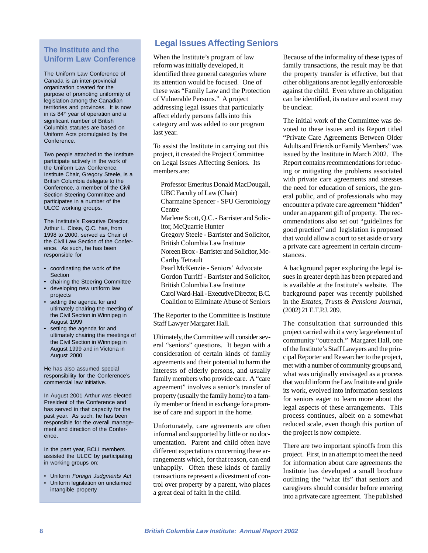## **The Institute and the Uniform Law Conference**

The Uniform Law Conference of Canada is an inter-provincial organization created for the purpose of promoting uniformity of legislation among the Canadian territories and provinces. It is now in its 84<sup>th</sup> year of operation and a significant number of British Columbia statutes are based on Uniform Acts promulgated by the Conference.

Two people attached to the Institute participate actively in the work of the Uniform Law Conference. Institute Chair, Gregory Steele, is a British Columbia delegate to the Conference, a member of the Civil Section Steering Committee and participates in a number of the ULCC working groups.

The Institute's Executive Director, Arthur L. Close, Q.C. has, from 1998 to 2000, served as Chair of the Civil Law Section of the Conference. As such, he has been responsible for

- coordinating the work of the Section
- chairing the Steering Committee
- developing new uniform law projects
- setting the agenda for and ultimately chairing the meeting of the Civil Section in Winnipeg in August 1999
- setting the agenda for and ultimately chairing the meetings of the Civil Section in Winnipeg in August 1999 and in Victoria in August 2000

He has also assumed special responsibility for the Conference's commercial law initiative.

In August 2001 Arthur was elected President of the Conference and has served in that capacity for the past year. As such, he has been responsible for the overall management and direction of the Conference.

In the past year, BCLI members assisted the ULCC by participating in working groups on:

- Uniform Foreign Judgments Act
- Uniform legislation on unclaimed intangible property

# **Legal Issues Affecting Seniors**

When the Institute's program of law reform was initially developed, it identified three general categories where its attention would be focused. One of these was "Family Law and the Protection of Vulnerable Persons." A project addressing legal issues that particularly affect elderly persons falls into this category and was added to our program last year.

To assist the Institute in carrying out this project, it created the Project Committee on Legal Issues Affecting Seniors. Its members are:

Professor Emeritus Donald MacDougall, UBC Faculty of Law (Chair) Charmaine Spencer - SFU Gerontology Centre Marlene Scott, Q.C. - Barrister and Solicitor, McQuarrie Hunter Gregory Steele - Barrister and Solicitor, British Columbia Law Institute Noreen Brox - Barrister and Solicitor, Mc-Carthy Tetrault Pearl McKenzie - Seniors' Advocate Gordon Turriff - Barrister and Solicitor, British Columbia Law Institute Carol Ward-Hall - Executive Director, B.C. Coalition to Eliminate Abuse of Seniors

The Reporter to the Committee is Institute Staff Lawyer Margaret Hall.

Ultimately, the Committee will consider several "seniors" questions. It began with a consideration of certain kinds of family agreements and their potential to harm the interests of elderly persons, and usually family members who provide care. A "care agreement" involves a senior's transfer of property (usually the family home) to a family member or friend in exchange for a promise of care and support in the home.

Unfortunately, care agreements are often informal and supported by little or no documentation. Parent and child often have different expectations concerning these arrangements which, for that reason, can end unhappily. Often these kinds of family transactions represent a divestment of control over property by a parent, who places a great deal of faith in the child.

Because of the informality of these types of family transactions, the result may be that the property transfer is effective, but that other obligations are not legally enforceable against the child. Even where an obligation can be identified, its nature and extent may be unclear.

The initial work of the Committee was devoted to these issues and its Report titled "Private Care Agreements Between Older Adults and Friends or Family Members" was issued by the Institute in March 2002. The Report contains recommendations for reducing or mitigating the problems associated with private care agreements and stresses the need for education of seniors, the general public, and of professionals who may encounter a private care agreement "hidden" under an apparent gift of property. The recommendations also set out "guidelines for good practice" and legislation is proposed that would allow a court to set aside or vary a private care agreement in certain circumstances.

A background paper exploring the legal issues in greater depth has been prepared and is available at the Institute's website. The background paper was recently published in the *Estates, Trusts & Pensions Journal*, (2002) 21 E.T.P.J. 209.

The consultation that surrounded this project carried with it a very large element of community "outreach." Margaret Hall, one of the Institute's Staff Lawyers and the principal Reporter and Researcher to the project, met with a number of community groups and, what was originally envisaged as a process that would inform the Law Institute and guide its work, evolved into information sessions for seniors eager to learn more about the legal aspects of these arrangements. This process continues, albeit on a somewhat reduced scale, even though this portion of the project is now complete.

There are two important spinoffs from this project. First, in an attempt to meet the need for information about care agreements the Institute has developed a small brochure outlining the "what ifs" that seniors and caregivers should consider before entering into a private care agreement. The published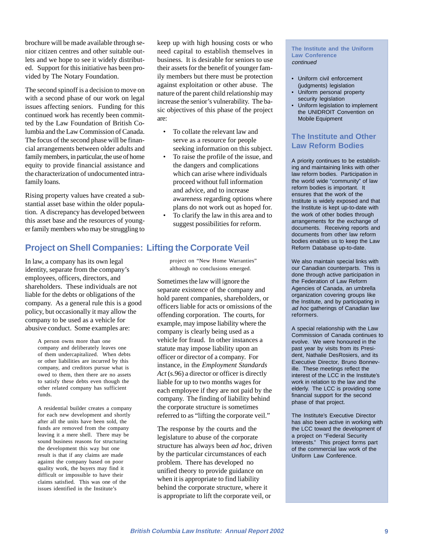brochure will be made available through senior citizen centres and other suitable outlets and we hope to see it widely distributed. Support for this initiative has been provided by The Notary Foundation.

The second spinoff is a decision to move on with a second phase of our work on legal issues affecting seniors. Funding for this continued work has recently been committed by the Law Foundation of British Columbia and the Law Commission of Canada. The focus of the second phase will be financial arrangements between older adults and family members, in particular, the use of home equity to provide financial assistance and the characterization of undocumented intrafamily loans.

Rising property values have created a substantial asset base within the older population. A discrepancy has developed between this asset base and the resources of younger family members who may be struggling to keep up with high housing costs or who need capital to establish themselves in business. It is desirable for seniors to use their assets for the benefit of younger family members but there must be protection against exploitation or other abuse. The nature of the parent child relationship may increase the senior's vulnerability. The basic objectives of this phase of the project are:

- To collate the relevant law and serve as a resource for people seeking information on this subject.
- To raise the profile of the issue, and the dangers and complications which can arise where individuals proceed without full information and advice, and to increase awareness regarding options where plans do not work out as hoped for.
- To clarify the law in this area and to suggest possibilities for reform.

## **Project on Shell Companies: Lifting the Corporate Veil**

In law, a company has its own legal identity, separate from the company's employees, officers, directors, and shareholders. These individuals are not liable for the debts or obligations of the company. As a general rule this is a good policy, but occasionally it may allow the company to be used as a vehicle for abusive conduct. Some examples are:

> A person owns more than one company and deliberately leaves one of them undercapitalized. When debts or other liabilities are incurred by this company, and creditors pursue what is owed to them, then there are no assets to satisfy these debts even though the other related company has sufficient funds.

> A residential builder creates a company for each new development and shortly after all the units have been sold, the funds are removed from the company leaving it a mere shell. There may be sound business reasons for structuring the development this way but one result is that if any claims are made against the company based on poor quality work, the buyers may find it difficult or impossible to have their claims satisfied. This was one of the issues identified in the Institute's

project on "New Home Warranties" although no conclusions emerged.

Sometimes the law will ignore the separate existence of the company and hold parent companies, shareholders, or officers liable for acts or omissions of the offending corporation. The courts, for example, may impose liability where the company is clearly being used as a vehicle for fraud. In other instances a statute may impose liability upon an officer or director of a company. For instance, in the *Employment Standards Act* (s.96) a director or officer is directly liable for up to two months wages for each employee if they are not paid by the company. The finding of liability behind the corporate structure is sometimes referred to as "lifting the corporate veil."

The response by the courts and the legislature to abuse of the corporate structure has always been *ad hoc*, driven by the particular circumstances of each problem. There has developed no unified theory to provide guidance on when it is appropriate to find liability behind the corporate structure, where it is appropriate to lift the corporate veil, or

#### **The Institute and the Uniform Law Conference** continued

- Uniform civil enforcement (judgments) legislation
- Uniform personal property security legislation
- Uniform legislation to implement the UNIDROIT Convention on Mobile Equipment

## **The Institute and Other Law Reform Bodies**

A priority continues to be establishing and maintaining links with other law reform bodies. Participation in the world wide "community" of law reform bodies is important. It ensures that the work of the Institute is widely exposed and that the Institute is kept up-to-date with the work of other bodies through arrangements for the exchange of documents. Receiving reports and documents from other law reform bodies enables us to keep the Law Reform Database up-to-date.

We also maintain special links with our Canadian counterparts. This is done through active participation in the Federation of Law Reform Agencies of Canada, an umbrella organization covering groups like the Institute, and by participating in ad hoc gatherings of Canadian law reformers.

A special relationship with the Law Commission of Canada continues to evolve. We were honoured in the past year by visits from its President, Nathalie DesRosiers, and its Executive Director, Bruno Bonneville. These meetings reflect the interest of the LCC in the Institute's work in relation to the law and the elderly. The LCC is providing some financial support for the second phase of that project.

The Institute's Executive Director has also been active in working with the LCC toward the development of a project on "Federal Security Interests." This project forms part of the commercial law work of the Uniform Law Conference.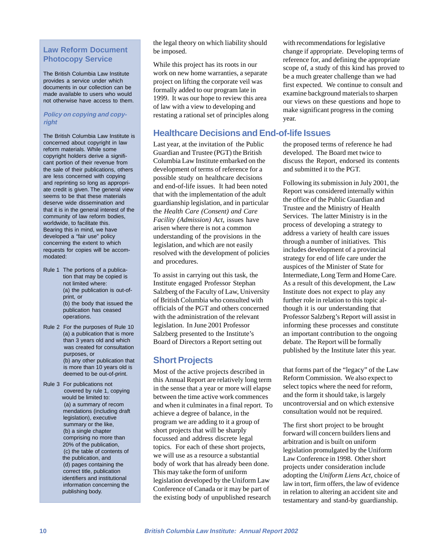## **Law Reform Document Photocopy Service**

The British Columbia Law Institute provides a service under which documents in our collection can be made available to users who would not otherwise have access to them.

### **Policy on copying and copyright**

The British Columbia Law Institute is concerned about copyright in law reform materials. While some copyright holders derive a significant portion of their revenue from the sale of their publications, others are less concerned with copying and reprinting so long as appropriate credit is given. The general view seems to be that these materials deserve wide dissemination and that it is in the general interest of the community of law reform bodies, worldwide, to facilitate this. Bearing this in mind, we have developed a "fair use" policy concerning the extent to which requests for copies will be accommodated:

- Rule 1 The portions of a publication that may be copied is not limited where: (a) the publication is out-ofprint, or (b) the body that issued the publication has ceased operations.
- Rule 2 For the purposes of Rule 10 (a) a publication that is more than 3 years old and which was created for consultation purposes, or (b) any other publication that is more than 10 years old is deemed to be out-of-print.
- Rule 3 For publications not covered by rule 1, copying would be limited to: (a) a summary of recom mendations (including draft legislation), executive summary or the like, (b) a single chapter comprising no more than 20% of the publication, (c) the table of contents of the publication, and (d) pages containing the correct title, publication identifiers and institutional information concerning the publishing body.

the legal theory on which liability should be imposed.

While this project has its roots in our work on new home warranties, a separate project on lifting the corporate veil was formally added to our program late in 1999. It was our hope to review this area of law with a view to developing and restating a rational set of principles along

## **Healthcare Decisions and End-of-life Issues**

Last year, at the invitation of the Public Guardian and Trustee (PGT) the British Columbia Law Institute embarked on the development of terms of reference for a possible study on healthcare decisions and end-of-life issues. It had been noted that with the implementation of the adult guardianship legislation, and in particular the *Health Care (Consent) and Care Facility (Admission) Act*, issues have arisen where there is not a common understanding of the provisions in the legislation, and which are not easily resolved with the development of policies and procedures.

To assist in carrying out this task, the Institute engaged Professor Stephan Salzberg of the Faculty of Law, University of British Columbia who consulted with officials of the PGT and others concerned with the administration of the relevant legislation. In June 2001 Professor Salzberg presented to the Institute's Board of Directors a Report setting out

# **Short Projects**

Most of the active projects described in this Annual Report are relatively long term in the sense that a year or more will elapse between the time active work commences and when it culminates in a final report. To achieve a degree of balance, in the program we are adding to it a group of short projects that will be sharply focussed and address discrete legal topics. For each of these short projects, we will use as a resource a substantial body of work that has already been done. This may take the form of uniform legislation developed by the Uniform Law Conference of Canada or it may be part of the existing body of unpublished research

with recommendations for legislative change if appropriate. Developing terms of reference for, and defining the appropriate scope of, a study of this kind has proved to be a much greater challenge than we had first expected. We continue to consult and examine background materials to sharpen our views on these questions and hope to make significant progress in the coming year.

the proposed terms of reference he had developed. The Board met twice to discuss the Report, endorsed its contents and submitted it to the PGT.

Following its submission in July 2001, the Report was considered internally within the office of the Public Guardian and Trustee and the Ministry of Health Services. The latter Ministry is in the process of developing a strategy to address a variety of health care issues through a number of initiatives. This includes development of a provincial strategy for end of life care under the auspices of the Minister of State for Intermediate, Long Term and Home Care. As a result of this development, the Law Institute does not expect to play any further role in relation to this topic although it is our understanding that Professor Salzberg's Report will assist in informing these processes and constitute an important contribution to the ongoing debate. The Report will be formally published by the Institute later this year.

that forms part of the "legacy" of the Law Reform Commission. We also expect to select topics where the need for reform, and the form it should take, is largely uncontroversial and on which extensive consultation would not be required.

The first short project to be brought forward will concern builders liens and arbitration and is built on uniform legislation promulgated by the Uniform Law Conference in 1998. Other short projects under consideration include adopting the *Uniform Liens Act*, choice of law in tort, firm offers, the law of evidence in relation to altering an accident site and testamentary and stand-by guardianship.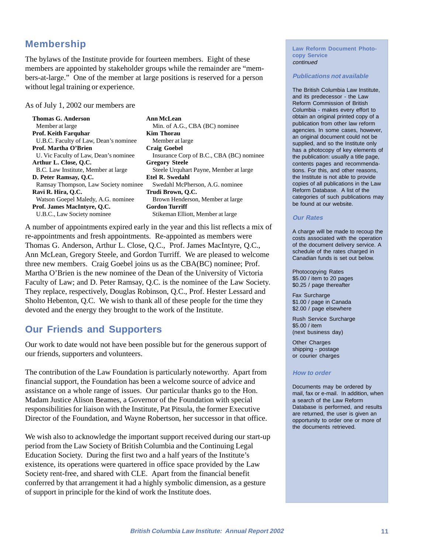# **Membership**

The bylaws of the Institute provide for fourteen members. Eight of these members are appointed by stakeholder groups while the remainder are "members-at-large." One of the member at large positions is reserved for a person without legal training or experience.

As of July 1, 2002 our members are

| Thomas G. Anderson                    | <b>Ann McLean</b>                        |
|---------------------------------------|------------------------------------------|
| Member at large                       | Min. of A.G., CBA (BC) nominee           |
| Prof. Keith Farquhar                  | <b>Kim Thorau</b>                        |
| U.B.C. Faculty of Law, Dean's nominee | Member at large                          |
| Prof. Martha O'Brien                  | <b>Craig Goebel</b>                      |
| U. Vic Faculty of Law, Dean's nominee | Insurance Corp of B.C., CBA (BC) nominee |
| Arthur L. Close, O.C.                 | <b>Gregory Steele</b>                    |
| B.C. Law Institute, Member at large   | Steele Urquhart Payne, Member at large   |
| D. Peter Ramsav, O.C.                 | <b>Etel R. Swedahl</b>                   |
| Ramsay Thompson, Law Society nominee  | Swedahl McPherson, A.G. nominee          |
| Ravi R. Hira, O.C.                    | Trudi Brown, O.C.                        |
| Watson Goepel Maledy, A.G. nominee    | Brown Henderson, Member at large         |
| Prof. James MacIntvre, O.C.           | <b>Gordon Turriff</b>                    |
| U.B.C., Law Society nominee           | Stikeman Elliott, Member at large        |
|                                       |                                          |

A number of appointments expired early in the year and this list reflects a mix of re-appointments and fresh appointments. Re-appointed as members were Thomas G. Anderson, Arthur L. Close, Q.C., Prof. James MacIntyre, Q.C., Ann McLean, Gregory Steele, and Gordon Turriff. We are pleased to welcome three new members. Craig Goebel joins us as the CBA(BC) nominee; Prof. Martha O'Brien is the new nominee of the Dean of the University of Victoria Faculty of Law; and D. Peter Ramsay, Q.C. is the nominee of the Law Society. They replace, respectively, Douglas Robinson, Q.C., Prof. Hester Lessard and Sholto Hebenton, Q.C. We wish to thank all of these people for the time they devoted and the energy they brought to the work of the Institute.

# **Our Friends and Supporters**

Our work to date would not have been possible but for the generous support of our friends, supporters and volunteers.

The contribution of the Law Foundation is particularly noteworthy. Apart from financial support, the Foundation has been a welcome source of advice and assistance on a whole range of issues. Our particular thanks go to the Hon. Madam Justice Alison Beames, a Governor of the Foundation with special responsibilities for liaison with the Institute, Pat Pitsula, the former Executive Director of the Foundation, and Wayne Robertson, her successor in that office.

We wish also to acknowledge the important support received during our start-up period from the Law Society of British Columbia and the Continuing Legal Education Society. During the first two and a half years of the Institute's existence, its operations were quartered in office space provided by the Law Society rent-free, and shared with CLE. Apart from the financial benefit conferred by that arrangement it had a highly symbolic dimension, as a gesture of support in principle for the kind of work the Institute does.

**Law Reform Document Photocopy Service** continued

#### **Publications not available**

The British Columbia Law Institute, and its predecessor - the Law Reform Commission of British Columbia - makes every effort to obtain an original printed copy of a publication from other law reform agencies. In some cases, however, an original document could not be supplied, and so the Institute only has a photocopy of key elements of the publication: usually a title page, contents pages and recommendations. For this, and other reasons, the Institute is not able to provide copies of all publications in the Law Reform Database. A list of the categories of such publications may be found at our website.

### **Our Rates**

A charge will be made to recoup the costs associated with the operation of the document delivery service. A schedule of the rates charged in Canadian funds is set out below.

Photocopying Rates \$5.00 / item to 20 pages \$0.25 / page thereafter

Fax Surcharge \$1.00 / page in Canada \$2.00 / page elsewhere

Rush Service Surcharge \$5.00 / item (next business day)

Other Charges shipping - postage or courier charges

### **How to order**

Documents may be ordered by mail, fax or e-mail. In addition, when a search of the Law Reform Database is performed, and results are returned, the user is given an opportunity to order one or more of the documents retrieved.